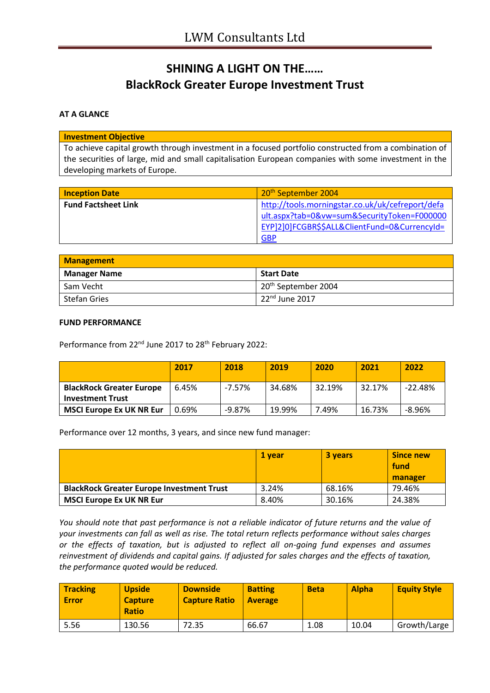# **SHINING A LIGHT ON THE…… BlackRock Greater Europe Investment Trust**

### **AT A GLANCE**

#### **Investment Objective**

To achieve capital growth through investment in a focused portfolio constructed from a combination of the securities of large, mid and small capitalisation European companies with some investment in the developing markets of Europe.

| <b>Inception Date</b>      | 20 <sup>th</sup> September 2004                                                                                                                                |
|----------------------------|----------------------------------------------------------------------------------------------------------------------------------------------------------------|
| <b>Fund Factsheet Link</b> | http://tools.morningstar.co.uk/uk/cefreport/defa<br>ult.aspx?tab=0&vw=sum&SecurityToken=F000000<br>EYP]2]0]FCGBR\$\$ALL&ClientFund=0&CurrencyId=<br><b>GBP</b> |

| Management          |                                 |  |
|---------------------|---------------------------------|--|
| <b>Manager Name</b> | <b>Start Date</b>               |  |
| Sam Vecht           | 20 <sup>th</sup> September 2004 |  |
| <b>Stefan Gries</b> | $22nd$ June 2017                |  |

### **FUND PERFORMANCE**

Performance from 22<sup>nd</sup> June 2017 to 28<sup>th</sup> February 2022:

|                                 | 2017  | 2018      | 2019   | 2020   | 2021   | 2022      |
|---------------------------------|-------|-----------|--------|--------|--------|-----------|
| <b>BlackRock Greater Europe</b> | 6.45% | $-7.57\%$ | 34.68% | 32.19% | 32.17% | $-22.48%$ |
| <b>Investment Trust</b>         |       |           |        |        |        |           |
| <b>MSCI Europe Ex UK NR Eur</b> | ን.69% | $-9.87%$  | 19.99% | 7.49%  | 16.73% | $-8.96%$  |

Performance over 12 months, 3 years, and since new fund manager:

|                                                  | 1 vear | 3 years | <b>Since new</b><br>fund<br>manager |
|--------------------------------------------------|--------|---------|-------------------------------------|
| <b>BlackRock Greater Europe Investment Trust</b> | 3.24%  | 68.16%  | 79.46%                              |
| <b>MSCI Europe Ex UK NR Eur</b>                  | 8.40%  | 30.16%  | 24.38%                              |

*You should note that past performance is not a reliable indicator of future returns and the value of your investments can fall as well as rise. The total return reflects performance without sales charges or the effects of taxation, but is adjusted to reflect all on-going fund expenses and assumes reinvestment of dividends and capital gains. If adjusted for sales charges and the effects of taxation, the performance quoted would be reduced.*

| Tracking<br>Error | <b>Upside</b><br><b>Capture</b><br><b>Ratio</b> | <b>Downside</b><br><b>Capture Ratio</b> | <b>Batting</b><br><b>Average</b> | <b>Beta</b> | <b>Alpha</b> | <b>Equity Style</b> |
|-------------------|-------------------------------------------------|-----------------------------------------|----------------------------------|-------------|--------------|---------------------|
| 5.56              | 130.56                                          | 72.35                                   | 66.67                            | 1.08        | 10.04        | Growth/Large        |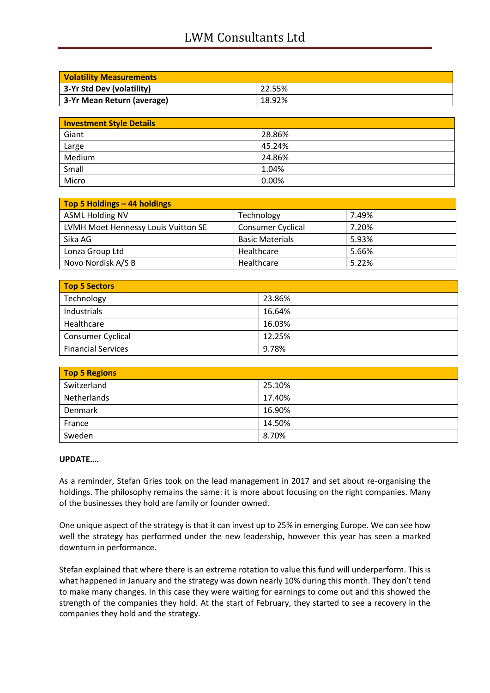## LWM Consultants Ltd

| <b>Volatility Measurements</b> |        |  |
|--------------------------------|--------|--|
| 3-Yr Std Dev (volatility)      | 22.55% |  |
| 3-Yr Mean Return (average)     | 18.92% |  |

| <b>Investment Style Details</b> |        |  |
|---------------------------------|--------|--|
| Giant                           | 28.86% |  |
| Large                           | 45.24% |  |
| Medium                          | 24.86% |  |
| Small                           | 1.04%  |  |
| Micro                           | 0.00%  |  |

| Top 5 Holdings - 44 holdings        |                          |       |
|-------------------------------------|--------------------------|-------|
| <b>ASML Holding NV</b>              | Technology               | 7.49% |
| LVMH Moet Hennessy Louis Vuitton SE | <b>Consumer Cyclical</b> | 7.20% |
| Sika AG                             | <b>Basic Materials</b>   | 5.93% |
| Lonza Group Ltd                     | Healthcare               | 5.66% |
| Novo Nordisk A/S B                  | Healthcare               | 5.22% |

| Top 5 Sectors             |        |  |
|---------------------------|--------|--|
| Technology                | 23.86% |  |
| Industrials               | 16.64% |  |
| Healthcare                | 16.03% |  |
| Consumer Cyclical         | 12.25% |  |
| <b>Financial Services</b> | 9.78%  |  |

| <b>Top 5 Regions</b> |        |  |
|----------------------|--------|--|
| Switzerland          | 25.10% |  |
| Netherlands          | 17.40% |  |
| Denmark              | 16.90% |  |
| France               | 14.50% |  |
| Sweden               | 8.70%  |  |

### **UPDATE….**

As a reminder, Stefan Gries took on the lead management in 2017 and set about re-organising the holdings. The philosophy remains the same: it is more about focusing on the right companies. Many of the businesses they hold are family or founder owned.

One unique aspect of the strategy is that it can invest up to 25% in emerging Europe. We can see how well the strategy has performed under the new leadership, however this year has seen a marked downturn in performance.

Stefan explained that where there is an extreme rotation to value this fund will underperform. This is what happened in January and the strategy was down nearly 10% during this month. They don't tend to make many changes. In this case they were waiting for earnings to come out and this showed the strength of the companies they hold. At the start of February, they started to see a recovery in the companies they hold and the strategy.